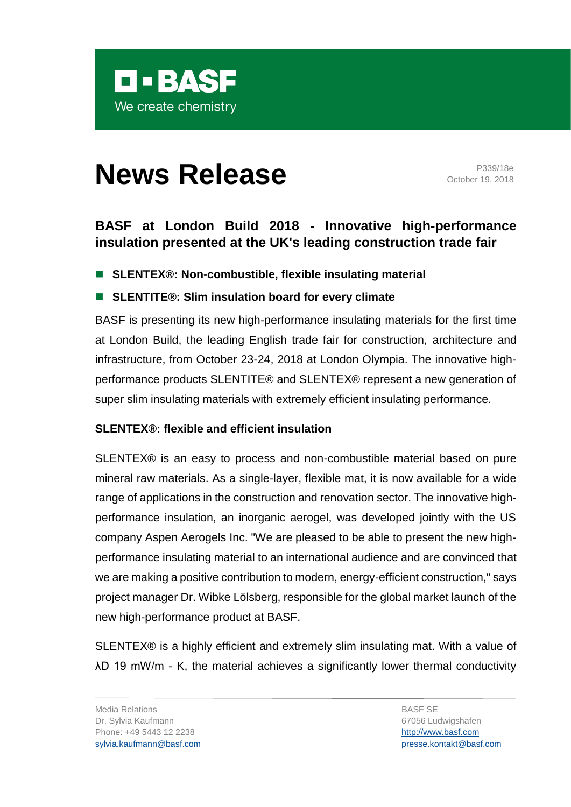

# **News Release** P339/18e

October 19, 2018

# **BASF at London Build 2018 - Innovative high-performance insulation presented at the UK's leading construction trade fair**

■ **SLENTEX®: Non-combustible, flexible insulating material** 

## ■ **SLENTITE®: Slim insulation board for every climate**

BASF is presenting its new high-performance insulating materials for the first time at London Build, the leading English trade fair for construction, architecture and infrastructure, from October 23-24, 2018 at London Olympia. The innovative highperformance products SLENTITE® and SLENTEX® represent a new generation of super slim insulating materials with extremely efficient insulating performance.

## **SLENTEX®: flexible and efficient insulation**

SLENTEX® is an easy to process and non-combustible material based on pure mineral raw materials. As a single-layer, flexible mat, it is now available for a wide range of applications in the construction and renovation sector. The innovative highperformance insulation, an inorganic aerogel, was developed jointly with the US company Aspen Aerogels Inc. "We are pleased to be able to present the new highperformance insulating material to an international audience and are convinced that we are making a positive contribution to modern, energy-efficient construction," says project manager Dr. Wibke Lölsberg, responsible for the global market launch of the new high-performance product at BASF.

SLENTEX® is a highly efficient and extremely slim insulating mat. With a value of λD 19 mW/m - K, the material achieves a significantly lower thermal conductivity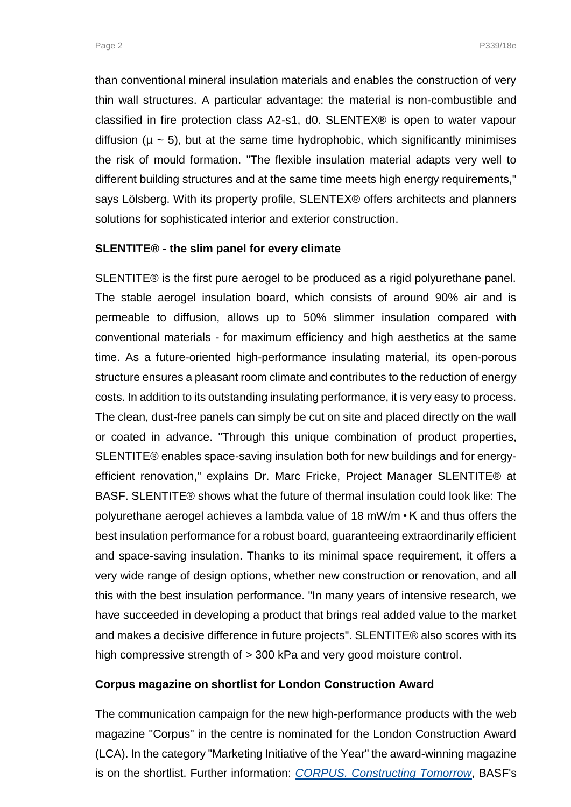than conventional mineral insulation materials and enables the construction of very thin wall structures. A particular advantage: the material is non-combustible and classified in fire protection class A2-s1, d0. SLENTEX® is open to water vapour diffusion ( $\mu \sim 5$ ), but at the same time hydrophobic, which significantly minimises the risk of mould formation. "The flexible insulation material adapts very well to different building structures and at the same time meets high energy requirements," says Lölsberg. With its property profile, SLENTEX® offers architects and planners solutions for sophisticated interior and exterior construction.

### **SLENTITE® - the slim panel for every climate**

SLENTITE® is the first pure aerogel to be produced as a rigid polyurethane panel. The stable aerogel insulation board, which consists of around 90% air and is permeable to diffusion, allows up to 50% slimmer insulation compared with conventional materials - for maximum efficiency and high aesthetics at the same time. As a future-oriented high-performance insulating material, its open-porous structure ensures a pleasant room climate and contributes to the reduction of energy costs. In addition to its outstanding insulating performance, it is very easy to process. The clean, dust-free panels can simply be cut on site and placed directly on the wall or coated in advance. "Through this unique combination of product properties, SLENTITE® enables space-saving insulation both for new buildings and for energyefficient renovation," explains Dr. Marc Fricke, Project Manager SLENTITE® at BASF. SLENTITE® shows what the future of thermal insulation could look like: The polyurethane aerogel achieves a lambda value of 18 mW/m • K and thus offers the best insulation performance for a robust board, guaranteeing extraordinarily efficient and space-saving insulation. Thanks to its minimal space requirement, it offers a very wide range of design options, whether new construction or renovation, and all this with the best insulation performance. "In many years of intensive research, we have succeeded in developing a product that brings real added value to the market and makes a decisive difference in future projects". SLENTITE® also scores with its high compressive strength of > 300 kPa and very good moisture control.

## **Corpus magazine on shortlist for London Construction Award**

The communication campaign for the new high-performance products with the web magazine "Corpus" in the centre is nominated for the London Construction Award (LCA). In the category "Marketing Initiative of the Year" the award-winning magazine is on the shortlist. Further information: *CORPUS. [Constructing Tomorrow](https://www.basf.com/de/products-and-industries/plastics-rubber/corpus.html)*, BASF's